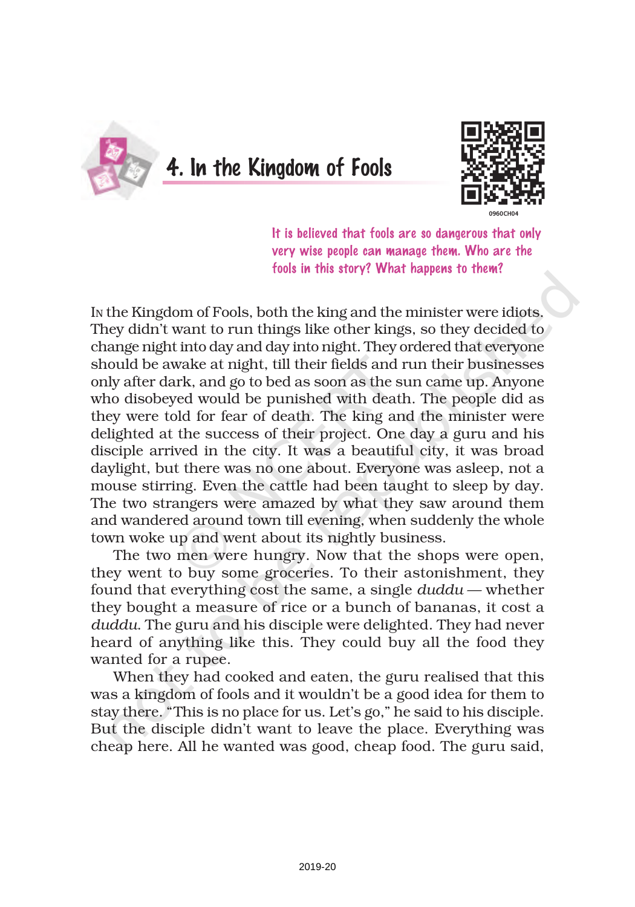

4. In the Kingdom of Fools



It is believed that fools are so dangerous that only very wise people can manage them. Who are the fools in this story? What happens to them?

IN the Kingdom of Fools, both the king and the minister were idiots. They didn't want to run things like other kings, so they decided to change night into day and day into night. They ordered that everyone should be awake at night, till their fields and run their businesses only after dark, and go to bed as soon as the sun came up. Anyone who disobeyed would be punished with death. The people did as they were told for fear of death. The king and the minister were delighted at the success of their project. One day a guru and his disciple arrived in the city. It was a beautiful city, it was broad daylight, but there was no one about. Everyone was asleep, not a mouse stirring. Even the cattle had been taught to sleep by day. The two strangers were amazed by what they saw around them and wandered around town till evening, when suddenly the whole town woke up and went about its nightly business.

The two men were hungry. Now that the shops were open, they went to buy some groceries. To their astonishment, they found that everything cost the same, a single *duddu* — whether they bought a measure of rice or a bunch of bananas, it cost a *duddu*. The guru and his disciple were delighted. They had never heard of anything like this. They could buy all the food they wanted for a rupee.

When they had cooked and eaten, the guru realised that this was a kingdom of fools and it wouldn't be a good idea for them to stay there. "This is no place for us. Let's go," he said to his disciple. But the disciple didn't want to leave the place. Everything was cheap here. All he wanted was good, cheap food. The guru said,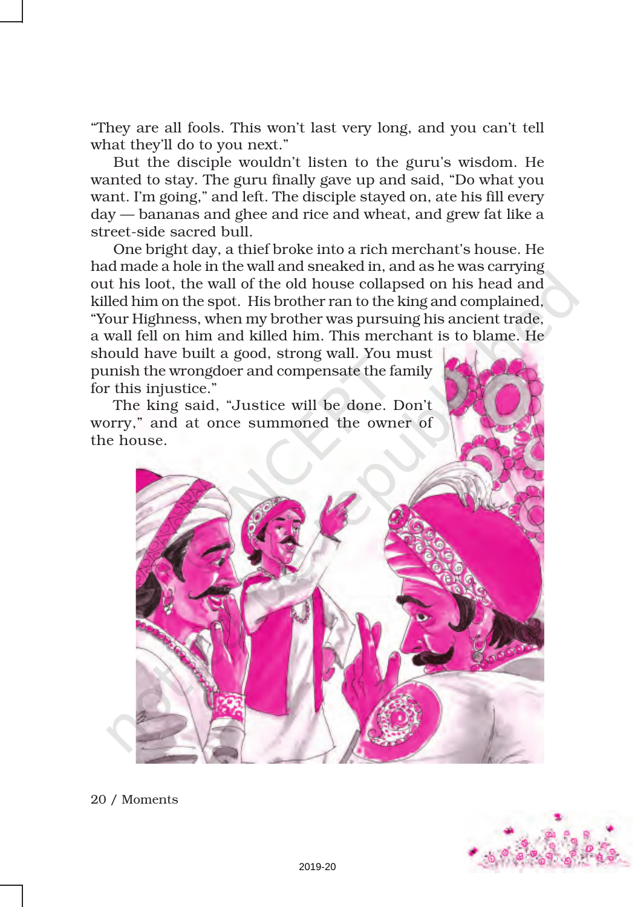"They are all fools. This won't last very long, and you can't tell what they'll do to you next."

But the disciple wouldn't listen to the guru's wisdom. He wanted to stay. The guru finally gave up and said, "Do what you want. I'm going," and left. The disciple stayed on, ate his fill every day — bananas and ghee and rice and wheat, and grew fat like a street-side sacred bull.

One bright day, a thief broke into a rich merchant's house. He had made a hole in the wall and sneaked in, and as he was carrying out his loot, the wall of the old house collapsed on his head and killed him on the spot. His brother ran to the king and complained, "Your Highness, when my brother was pursuing his ancient trade, a wall fell on him and killed him. This merchant is to blame. He should have built a good, strong wall. You must

punish the wrongdoer and compensate the family for this injustice."

The king said, "Justice will be done. Don't worry," and at once summoned the owner of the house.



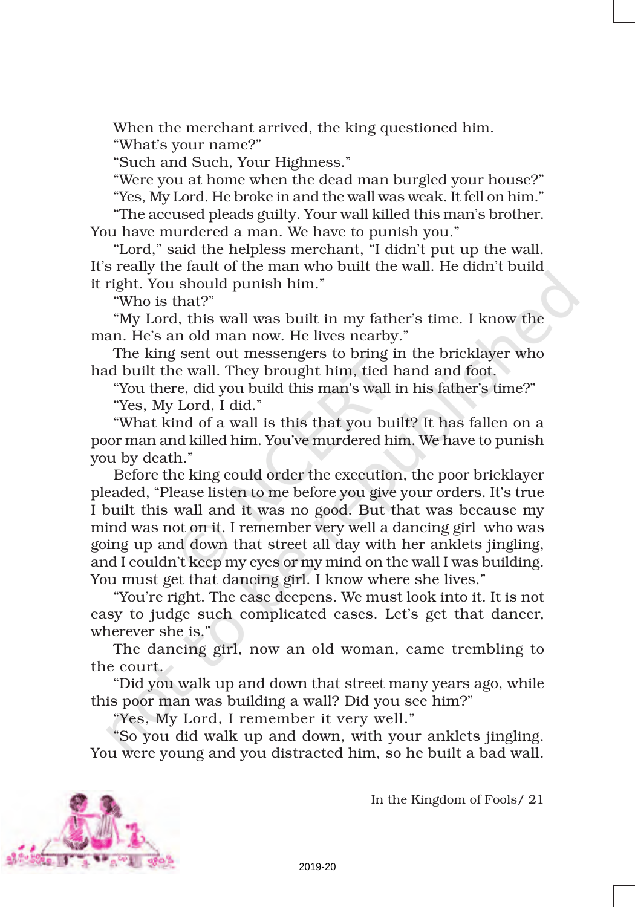When the merchant arrived, the king questioned him.

"What's your name?"

"Such and Such, Your Highness."

"Were you at home when the dead man burgled your house?"

"Yes, My Lord. He broke in and the wall was weak. It fell on him."

"The accused pleads guilty. Your wall killed this man's brother. You have murdered a man. We have to punish you."

"Lord," said the helpless merchant, "I didn't put up the wall. It's really the fault of the man who built the wall. He didn't build it right. You should punish him."

"Who is that?"

"My Lord, this wall was built in my father's time. I know the man. He's an old man now. He lives nearby."

The king sent out messengers to bring in the bricklayer who had built the wall. They brought him, tied hand and foot.

"You there, did you build this man's wall in his father's time?" "Yes, My Lord, I did."

"What kind of a wall is this that you built? It has fallen on a poor man and killed him. You've murdered him. We have to punish you by death."

Before the king could order the execution, the poor bricklayer pleaded, "Please listen to me before you give your orders. It's true I built this wall and it was no good. But that was because my mind was not on it. I remember very well a dancing girl who was going up and down that street all day with her anklets jingling, and I couldn't keep my eyes or my mind on the wall I was building. You must get that dancing girl. I know where she lives."

"You're right. The case deepens. We must look into it. It is not easy to judge such complicated cases. Let's get that dancer, wherever she is."

The dancing girl, now an old woman, came trembling to the court.

"Did you walk up and down that street many years ago, while this poor man was building a wall? Did you see him?"

"Yes, My Lord, I remember it very well."

"So you did walk up and down, with your anklets jingling. You were young and you distracted him, so he built a bad wall.

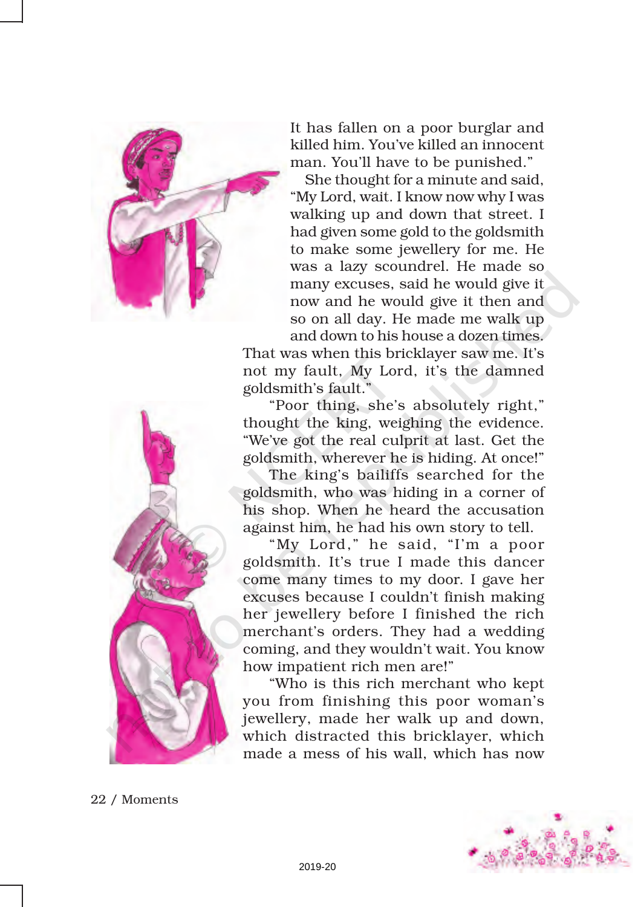



It has fallen on a poor burglar and killed him. You've killed an innocent man. You'll have to be punished."

She thought for a minute and said, "My Lord, wait. I know now why I was walking up and down that street. I had given some gold to the goldsmith to make some jewellery for me. He was a lazy scoundrel. He made so many excuses, said he would give it now and he would give it then and so on all day. He made me walk up and down to his house a dozen times.

That was when this bricklayer saw me. It's not my fault, My Lord, it's the damned goldsmith's fault."

"Poor thing, she's absolutely right," thought the king, weighing the evidence. "We've got the real culprit at last. Get the goldsmith, wherever he is hiding. At once!"

The king's bailiffs searched for the goldsmith, who was hiding in a corner of his shop. When he heard the accusation against him, he had his own story to tell.

"My Lord," he said, "I'm a poor goldsmith. It's true I made this dancer come many times to my door. I gave her excuses because I couldn't finish making her jewellery before I finished the rich merchant's orders. They had a wedding coming, and they wouldn't wait. You know how impatient rich men are!"

"Who is this rich merchant who kept you from finishing this poor woman's jewellery, made her walk up and down, which distracted this bricklayer, which made a mess of his wall, which has now

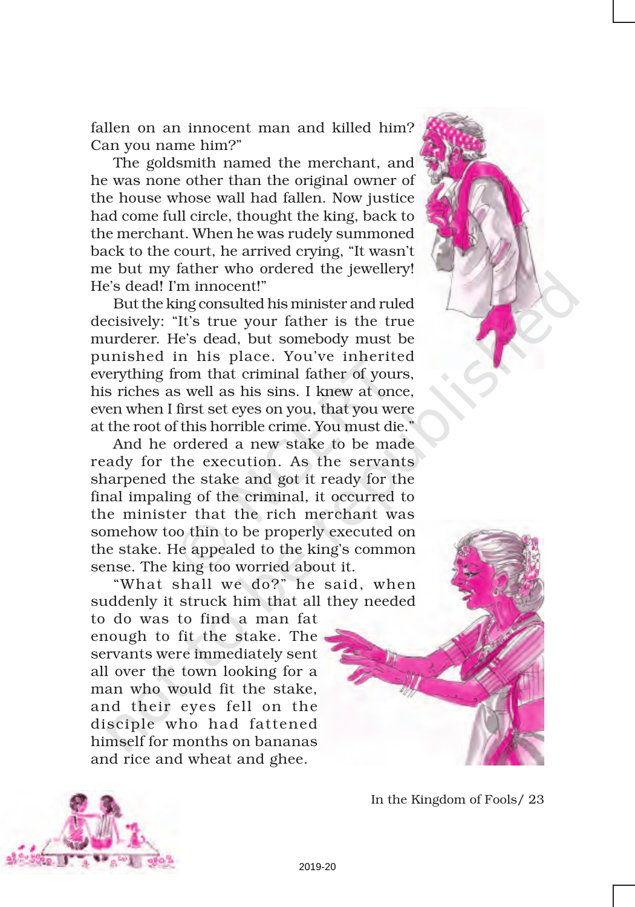fallen on an innocent man and killed him? Can you name him?"

The goldsmith named the merchant, and he was none other than the original owner of the house whose wall had fallen. Now justice had come full circle, thought the king, back to the merchant. When he was rudely summoned back to the court, he arrived crying, "It wasn't me but my father who ordered the jewellery! He's dead! I'm innocent!"

But the king consulted his minister and ruled decisively: "It's true your father is the true murderer. He's dead, but somebody must be punished in his place. You've inherited everything from that criminal father of yours, his riches as well as his sins. I knew at once, even when I first set eyes on you, that you were at the root of this horrible crime. You must die."

And he ordered a new stake to be made ready for the execution. As the servants sharpened the stake and got it ready for the final impaling of the criminal, it occurred to the minister that the rich merchant was somehow too thin to be properly executed on the stake. He appealed to the king's common sense. The king too worried about it.

"What shall we do?" he said, when suddenly it struck him that all they needed

to do was to find a man fat enough to fit the stake. The servants were immediately sent all over the town looking for a man who would fit the stake, and their eyes fell on the disciple who had fattened himself for months on bananas and rice and wheat and ghee.

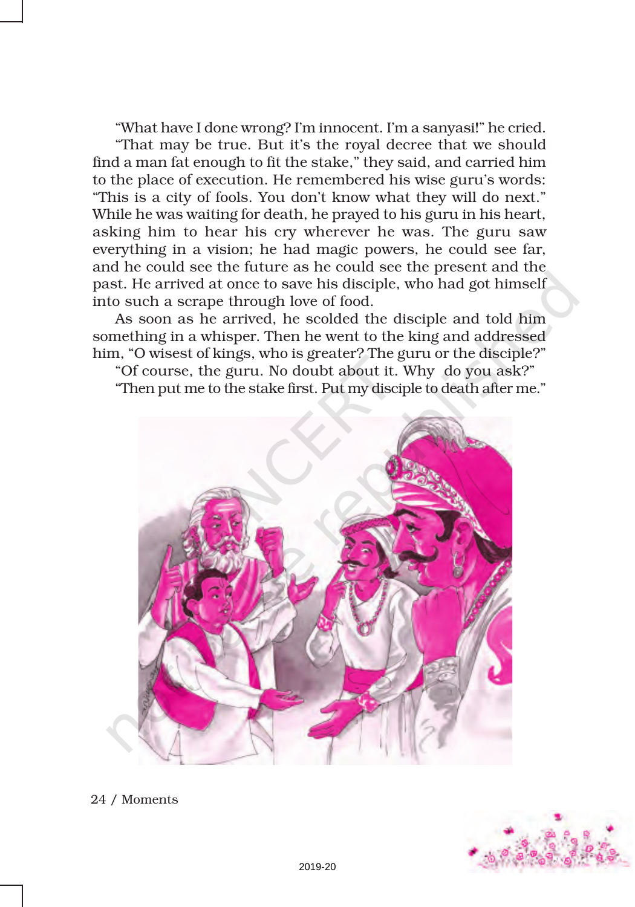"What have I done wrong? I'm innocent. I'm a sanyasi!" he cried.

"That may be true. But it's the royal decree that we should find a man fat enough to fit the stake," they said, and carried him to the place of execution. He remembered his wise guru's words: "This is a city of fools. You don't know what they will do next." While he was waiting for death, he prayed to his guru in his heart, asking him to hear his cry wherever he was. The guru saw everything in a vision; he had magic powers, he could see far, and he could see the future as he could see the present and the past. He arrived at once to save his disciple, who had got himself into such a scrape through love of food.

As soon as he arrived, he scolded the disciple and told him something in a whisper. Then he went to the king and addressed him, "O wisest of kings, who is greater? The guru or the disciple?"

"Of course, the guru. No doubt about it. Why do you ask?" "Then put me to the stake first. Put my disciple to death after me."



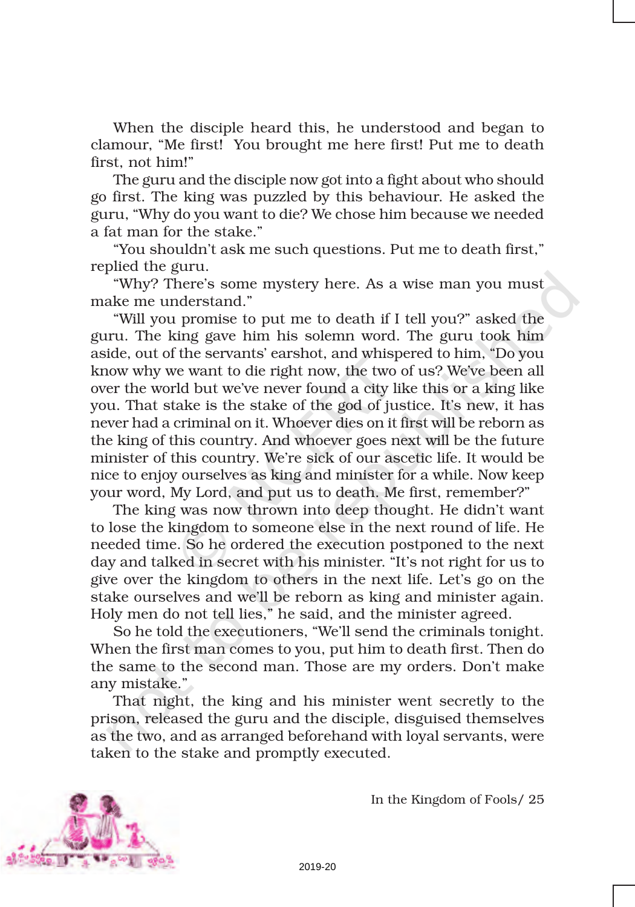When the disciple heard this, he understood and began to clamour, "Me first! You brought me here first! Put me to death first, not him!"

The guru and the disciple now got into a fight about who should go first. The king was puzzled by this behaviour. He asked the guru, "Why do you want to die? We chose him because we needed a fat man for the stake."

"You shouldn't ask me such questions. Put me to death first," replied the guru.

"Why? There's some mystery here. As a wise man you must make me understand."

"Will you promise to put me to death if I tell you?" asked the guru. The king gave him his solemn word. The guru took him aside, out of the servants' earshot, and whispered to him, "Do you know why we want to die right now, the two of us? We've been all over the world but we've never found a city like this or a king like you. That stake is the stake of the god of justice. It's new, it has never had a criminal on it. Whoever dies on it first will be reborn as the king of this country. And whoever goes next will be the future minister of this country. We're sick of our ascetic life. It would be nice to enjoy ourselves as king and minister for a while. Now keep your word, My Lord, and put us to death. Me first, remember?"

The king was now thrown into deep thought. He didn't want to lose the kingdom to someone else in the next round of life. He needed time. So he ordered the execution postponed to the next day and talked in secret with his minister. "It's not right for us to give over the kingdom to others in the next life. Let's go on the stake ourselves and we'll be reborn as king and minister again. Holy men do not tell lies," he said, and the minister agreed.

So he told the executioners, "We'll send the criminals tonight. When the first man comes to you, put him to death first. Then do the same to the second man. Those are my orders. Don't make any mistake."

That night, the king and his minister went secretly to the prison, released the guru and the disciple, disguised themselves as the two, and as arranged beforehand with loyal servants, were taken to the stake and promptly executed.

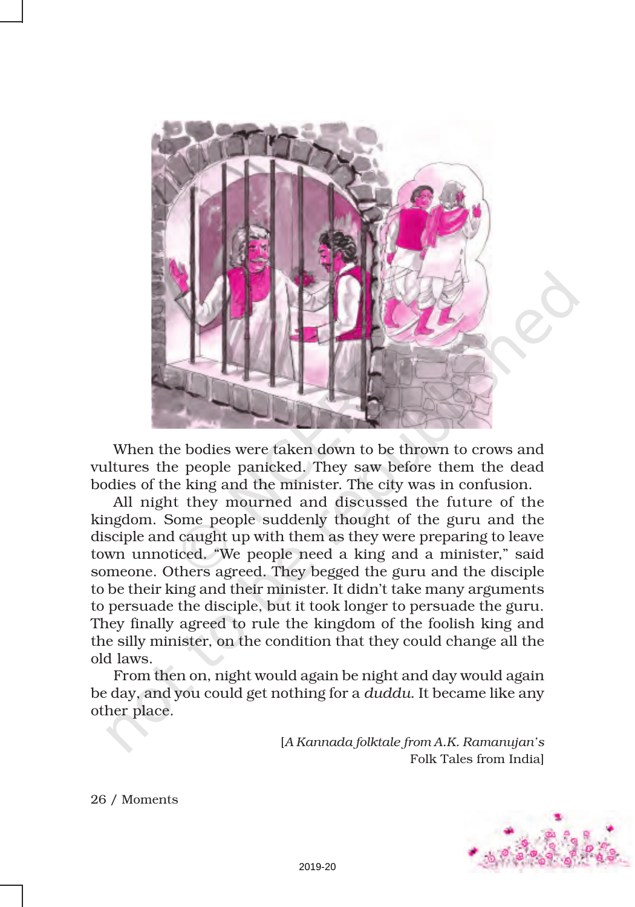

When the bodies were taken down to be thrown to crows and vultures the people panicked. They saw before them the dead bodies of the king and the minister. The city was in confusion.

All night they mourned and discussed the future of the kingdom. Some people suddenly thought of the guru and the disciple and caught up with them as they were preparing to leave town unnoticed. "We people need a king and a minister," said someone. Others agreed. They begged the guru and the disciple to be their king and their minister. It didn't take many arguments to persuade the disciple, but it took longer to persuade the guru. They finally agreed to rule the kingdom of the foolish king and the silly minister, on the condition that they could change all the old laws.

From then on, night would again be night and day would again be day, and you could get nothing for a *duddu*. It became like any other place.

> [*A Kannada folktale from A.K. Ramanujan's* Folk Tales from India]